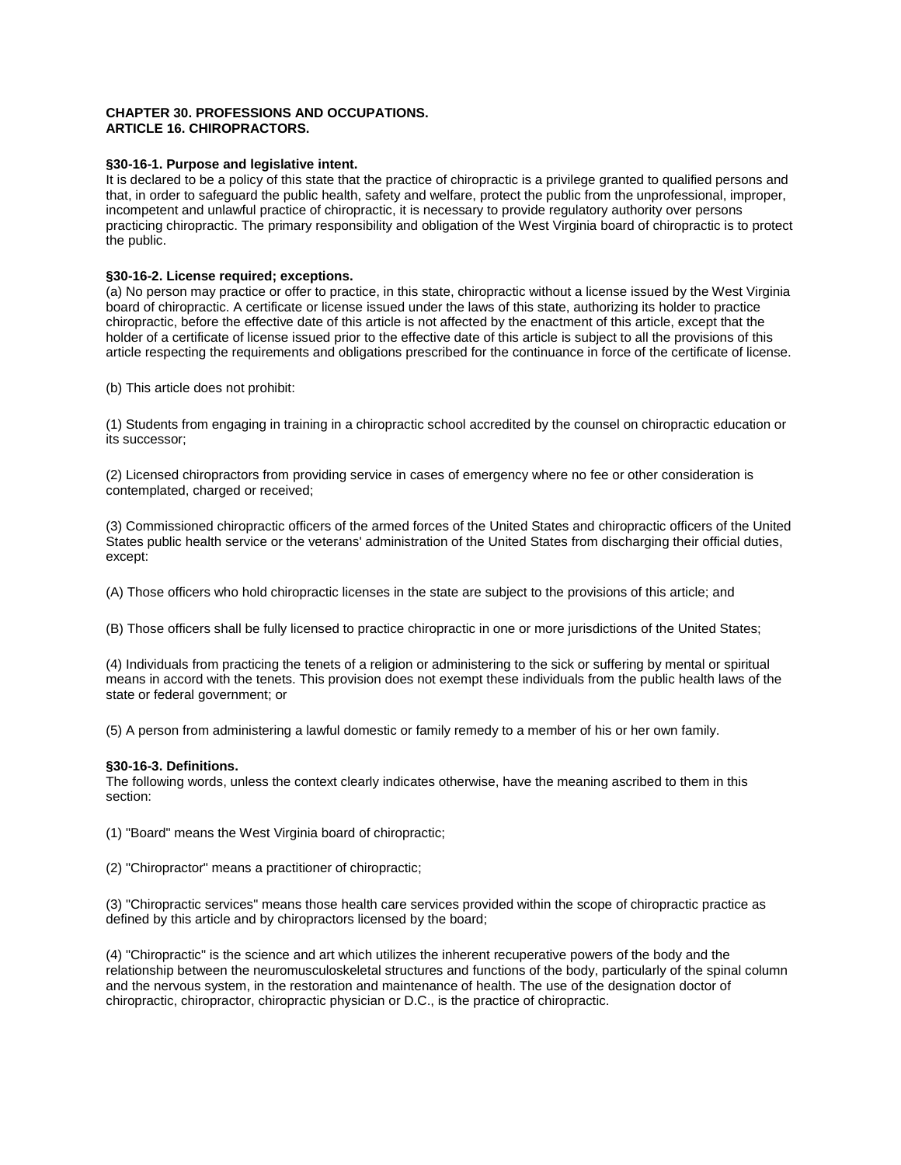# **CHAPTER 30. PROFESSIONS AND OCCUPATIONS. ARTICLE 16. CHIROPRACTORS.**

# **§30-16-1. Purpose and legislative intent.**

It is declared to be a policy of this state that the practice of chiropractic is a privilege granted to qualified persons and that, in order to safeguard the public health, safety and welfare, protect the public from the unprofessional, improper, incompetent and unlawful practice of chiropractic, it is necessary to provide regulatory authority over persons practicing chiropractic. The primary responsibility and obligation of the West Virginia board of chiropractic is to protect the public.

# **§30-16-2. License required; exceptions.**

(a) No person may practice or offer to practice, in this state, chiropractic without a license issued by the West Virginia board of chiropractic. A certificate or license issued under the laws of this state, authorizing its holder to practice chiropractic, before the effective date of this article is not affected by the enactment of this article, except that the holder of a certificate of license issued prior to the effective date of this article is subject to all the provisions of this article respecting the requirements and obligations prescribed for the continuance in force of the certificate of license.

(b) This article does not prohibit:

(1) Students from engaging in training in a chiropractic school accredited by the counsel on chiropractic education or its successor;

(2) Licensed chiropractors from providing service in cases of emergency where no fee or other consideration is contemplated, charged or received;

(3) Commissioned chiropractic officers of the armed forces of the United States and chiropractic officers of the United States public health service or the veterans' administration of the United States from discharging their official duties, except:

(A) Those officers who hold chiropractic licenses in the state are subject to the provisions of this article; and

(B) Those officers shall be fully licensed to practice chiropractic in one or more jurisdictions of the United States;

(4) Individuals from practicing the tenets of a religion or administering to the sick or suffering by mental or spiritual means in accord with the tenets. This provision does not exempt these individuals from the public health laws of the state or federal government; or

(5) A person from administering a lawful domestic or family remedy to a member of his or her own family.

# **§30-16-3. Definitions.**

The following words, unless the context clearly indicates otherwise, have the meaning ascribed to them in this section:

(1) "Board" means the West Virginia board of chiropractic;

(2) "Chiropractor" means a practitioner of chiropractic;

(3) "Chiropractic services" means those health care services provided within the scope of chiropractic practice as defined by this article and by chiropractors licensed by the board;

(4) "Chiropractic" is the science and art which utilizes the inherent recuperative powers of the body and the relationship between the neuromusculoskeletal structures and functions of the body, particularly of the spinal column and the nervous system, in the restoration and maintenance of health. The use of the designation doctor of chiropractic, chiropractor, chiropractic physician or D.C., is the practice of chiropractic.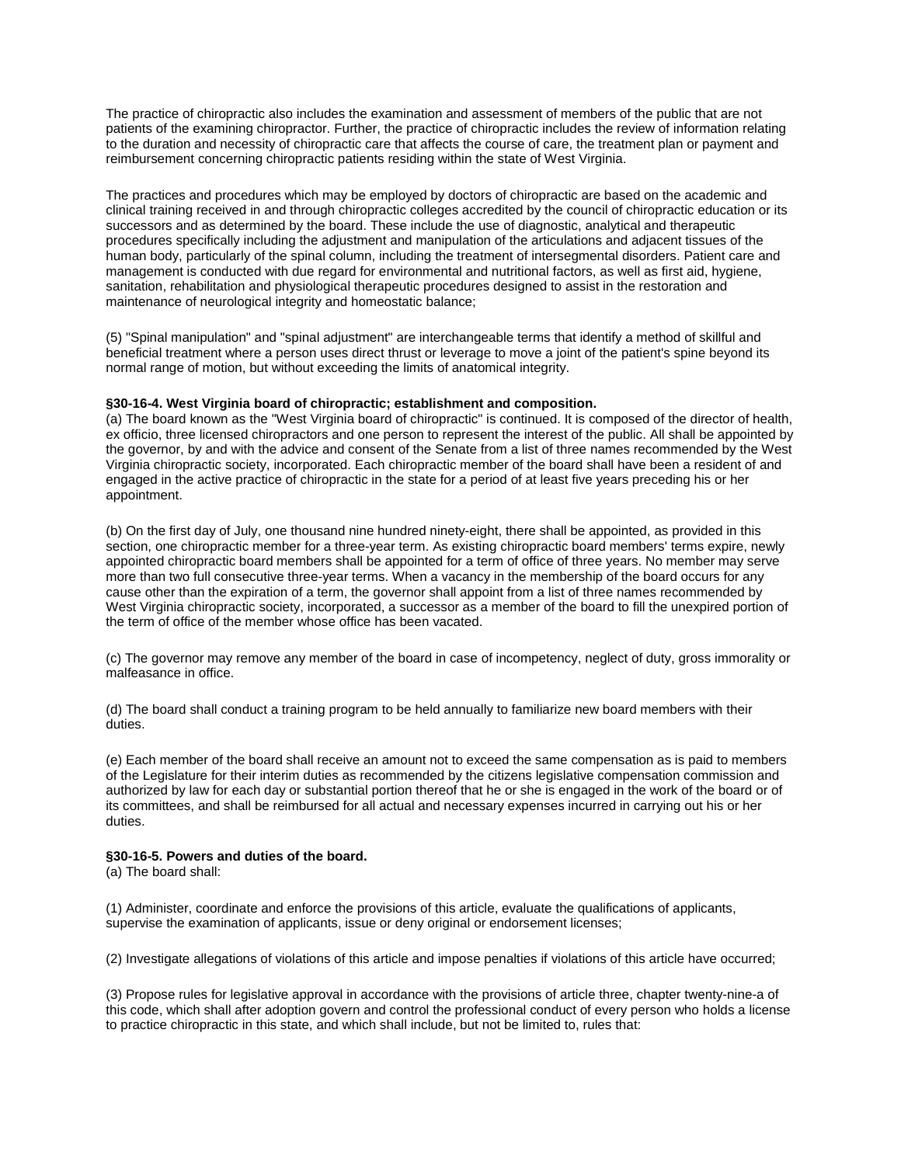The practice of chiropractic also includes the examination and assessment of members of the public that are not patients of the examining chiropractor. Further, the practice of chiropractic includes the review of information relating to the duration and necessity of chiropractic care that affects the course of care, the treatment plan or payment and reimbursement concerning chiropractic patients residing within the state of West Virginia.

The practices and procedures which may be employed by doctors of chiropractic are based on the academic and clinical training received in and through chiropractic colleges accredited by the council of chiropractic education or its successors and as determined by the board. These include the use of diagnostic, analytical and therapeutic procedures specifically including the adjustment and manipulation of the articulations and adjacent tissues of the human body, particularly of the spinal column, including the treatment of intersegmental disorders. Patient care and management is conducted with due regard for environmental and nutritional factors, as well as first aid, hygiene, sanitation, rehabilitation and physiological therapeutic procedures designed to assist in the restoration and maintenance of neurological integrity and homeostatic balance;

(5) "Spinal manipulation" and "spinal adjustment" are interchangeable terms that identify a method of skillful and beneficial treatment where a person uses direct thrust or leverage to move a joint of the patient's spine beyond its normal range of motion, but without exceeding the limits of anatomical integrity.

## **§30-16-4. West Virginia board of chiropractic; establishment and composition.**

(a) The board known as the "West Virginia board of chiropractic" is continued. It is composed of the director of health, ex officio, three licensed chiropractors and one person to represent the interest of the public. All shall be appointed by the governor, by and with the advice and consent of the Senate from a list of three names recommended by the West Virginia chiropractic society, incorporated. Each chiropractic member of the board shall have been a resident of and engaged in the active practice of chiropractic in the state for a period of at least five years preceding his or her appointment.

(b) On the first day of July, one thousand nine hundred ninety-eight, there shall be appointed, as provided in this section, one chiropractic member for a three-year term. As existing chiropractic board members' terms expire, newly appointed chiropractic board members shall be appointed for a term of office of three years. No member may serve more than two full consecutive three-year terms. When a vacancy in the membership of the board occurs for any cause other than the expiration of a term, the governor shall appoint from a list of three names recommended by West Virginia chiropractic society, incorporated, a successor as a member of the board to fill the unexpired portion of the term of office of the member whose office has been vacated.

(c) The governor may remove any member of the board in case of incompetency, neglect of duty, gross immorality or malfeasance in office.

(d) The board shall conduct a training program to be held annually to familiarize new board members with their duties.

(e) Each member of the board shall receive an amount not to exceed the same compensation as is paid to members of the Legislature for their interim duties as recommended by the citizens legislative compensation commission and authorized by law for each day or substantial portion thereof that he or she is engaged in the work of the board or of its committees, and shall be reimbursed for all actual and necessary expenses incurred in carrying out his or her duties.

# **§30-16-5. Powers and duties of the board.**

(a) The board shall:

(1) Administer, coordinate and enforce the provisions of this article, evaluate the qualifications of applicants, supervise the examination of applicants, issue or deny original or endorsement licenses;

(2) Investigate allegations of violations of this article and impose penalties if violations of this article have occurred;

(3) Propose rules for legislative approval in accordance with the provisions of article three, chapter twenty-nine-a of this code, which shall after adoption govern and control the professional conduct of every person who holds a license to practice chiropractic in this state, and which shall include, but not be limited to, rules that: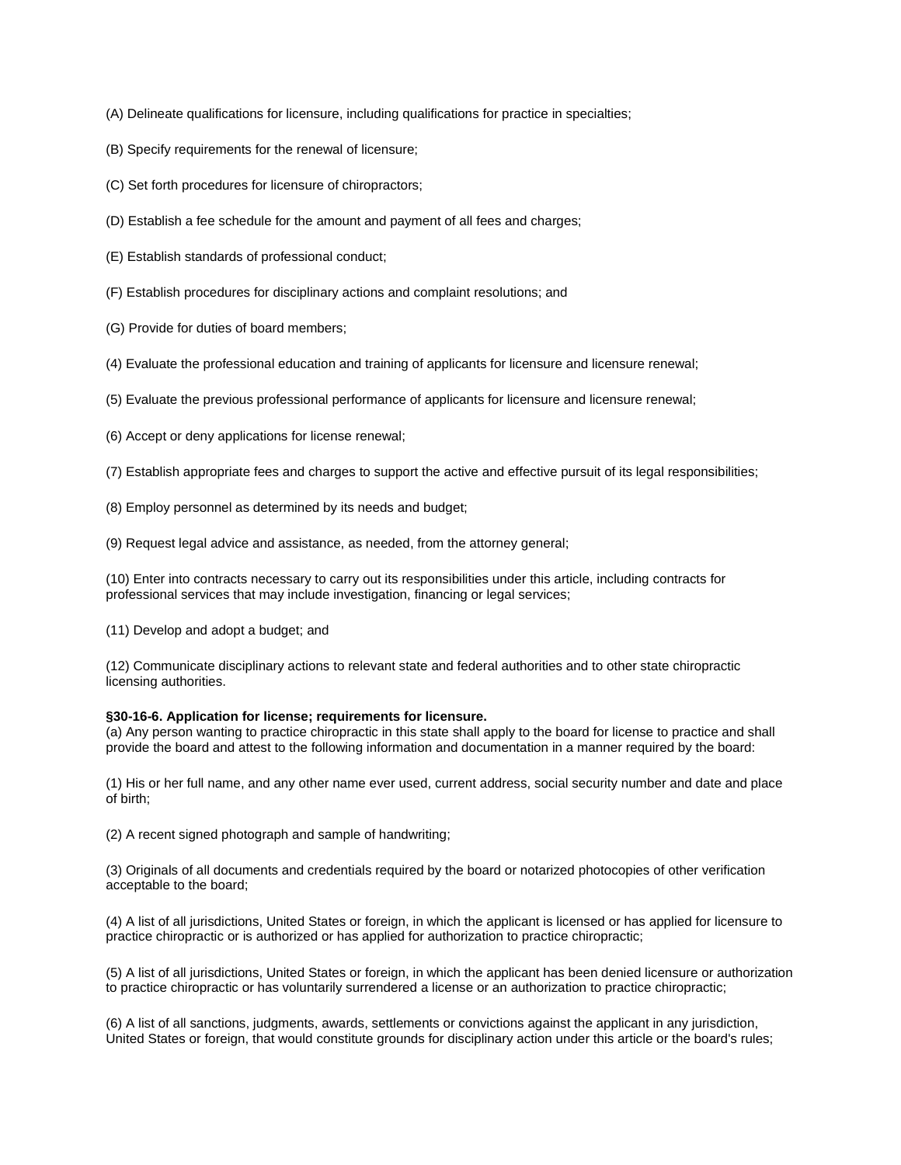- (A) Delineate qualifications for licensure, including qualifications for practice in specialties;
- (B) Specify requirements for the renewal of licensure;
- (C) Set forth procedures for licensure of chiropractors;
- (D) Establish a fee schedule for the amount and payment of all fees and charges;
- (E) Establish standards of professional conduct;
- (F) Establish procedures for disciplinary actions and complaint resolutions; and
- (G) Provide for duties of board members;
- (4) Evaluate the professional education and training of applicants for licensure and licensure renewal;
- (5) Evaluate the previous professional performance of applicants for licensure and licensure renewal;
- (6) Accept or deny applications for license renewal;
- (7) Establish appropriate fees and charges to support the active and effective pursuit of its legal responsibilities;
- (8) Employ personnel as determined by its needs and budget;
- (9) Request legal advice and assistance, as needed, from the attorney general;

(10) Enter into contracts necessary to carry out its responsibilities under this article, including contracts for professional services that may include investigation, financing or legal services;

(11) Develop and adopt a budget; and

(12) Communicate disciplinary actions to relevant state and federal authorities and to other state chiropractic licensing authorities.

# **§30-16-6. Application for license; requirements for licensure.**

(a) Any person wanting to practice chiropractic in this state shall apply to the board for license to practice and shall provide the board and attest to the following information and documentation in a manner required by the board:

(1) His or her full name, and any other name ever used, current address, social security number and date and place of birth;

(2) A recent signed photograph and sample of handwriting;

(3) Originals of all documents and credentials required by the board or notarized photocopies of other verification acceptable to the board;

(4) A list of all jurisdictions, United States or foreign, in which the applicant is licensed or has applied for licensure to practice chiropractic or is authorized or has applied for authorization to practice chiropractic;

(5) A list of all jurisdictions, United States or foreign, in which the applicant has been denied licensure or authorization to practice chiropractic or has voluntarily surrendered a license or an authorization to practice chiropractic;

(6) A list of all sanctions, judgments, awards, settlements or convictions against the applicant in any jurisdiction, United States or foreign, that would constitute grounds for disciplinary action under this article or the board's rules;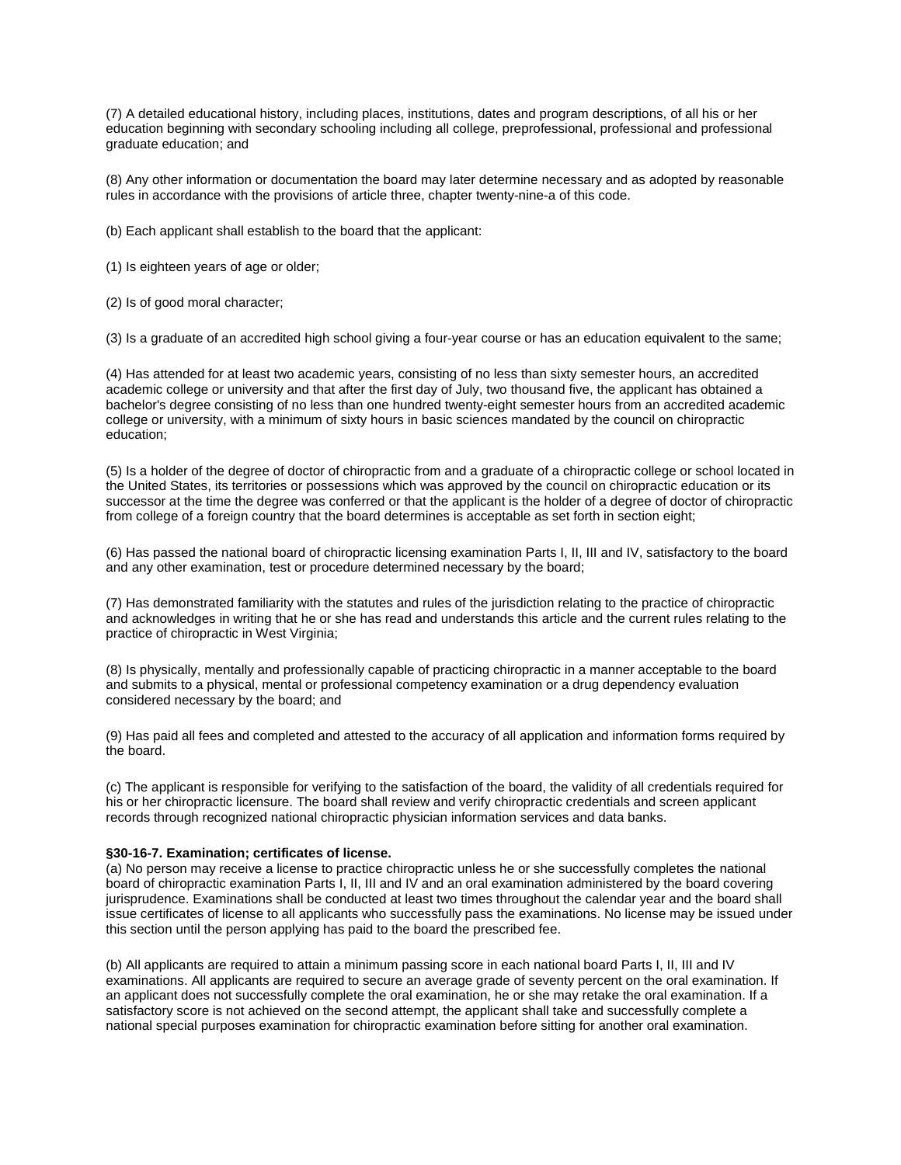(7) A detailed educational history, including places, institutions, dates and program descriptions, of all his or her education beginning with secondary schooling including all college, preprofessional, professional and professional graduate education; and

(8) Any other information or documentation the board may later determine necessary and as adopted by reasonable rules in accordance with the provisions of article three, chapter twenty-nine-a of this code.

(b) Each applicant shall establish to the board that the applicant:

(1) Is eighteen years of age or older;

(2) Is of good moral character;

(3) Is a graduate of an accredited high school giving a four-year course or has an education equivalent to the same;

(4) Has attended for at least two academic years, consisting of no less than sixty semester hours, an accredited academic college or university and that after the first day of July, two thousand five, the applicant has obtained a bachelor's degree consisting of no less than one hundred twenty-eight semester hours from an accredited academic college or university, with a minimum of sixty hours in basic sciences mandated by the council on chiropractic education;

(5) Is a holder of the degree of doctor of chiropractic from and a graduate of a chiropractic college or school located in the United States, its territories or possessions which was approved by the council on chiropractic education or its successor at the time the degree was conferred or that the applicant is the holder of a degree of doctor of chiropractic from college of a foreign country that the board determines is acceptable as set forth in section eight;

(6) Has passed the national board of chiropractic licensing examination Parts I, II, III and IV, satisfactory to the board and any other examination, test or procedure determined necessary by the board;

(7) Has demonstrated familiarity with the statutes and rules of the jurisdiction relating to the practice of chiropractic and acknowledges in writing that he or she has read and understands this article and the current rules relating to the practice of chiropractic in West Virginia;

(8) Is physically, mentally and professionally capable of practicing chiropractic in a manner acceptable to the board and submits to a physical, mental or professional competency examination or a drug dependency evaluation considered necessary by the board; and

(9) Has paid all fees and completed and attested to the accuracy of all application and information forms required by the board.

(c) The applicant is responsible for verifying to the satisfaction of the board, the validity of all credentials required for his or her chiropractic licensure. The board shall review and verify chiropractic credentials and screen applicant records through recognized national chiropractic physician information services and data banks.

#### **§30-16-7. Examination; certificates of license.**

(a) No person may receive a license to practice chiropractic unless he or she successfully completes the national board of chiropractic examination Parts I, II, III and IV and an oral examination administered by the board covering jurisprudence. Examinations shall be conducted at least two times throughout the calendar year and the board shall issue certificates of license to all applicants who successfully pass the examinations. No license may be issued under this section until the person applying has paid to the board the prescribed fee.

(b) All applicants are required to attain a minimum passing score in each national board Parts I, II, III and IV examinations. All applicants are required to secure an average grade of seventy percent on the oral examination. If an applicant does not successfully complete the oral examination, he or she may retake the oral examination. If a satisfactory score is not achieved on the second attempt, the applicant shall take and successfully complete a national special purposes examination for chiropractic examination before sitting for another oral examination.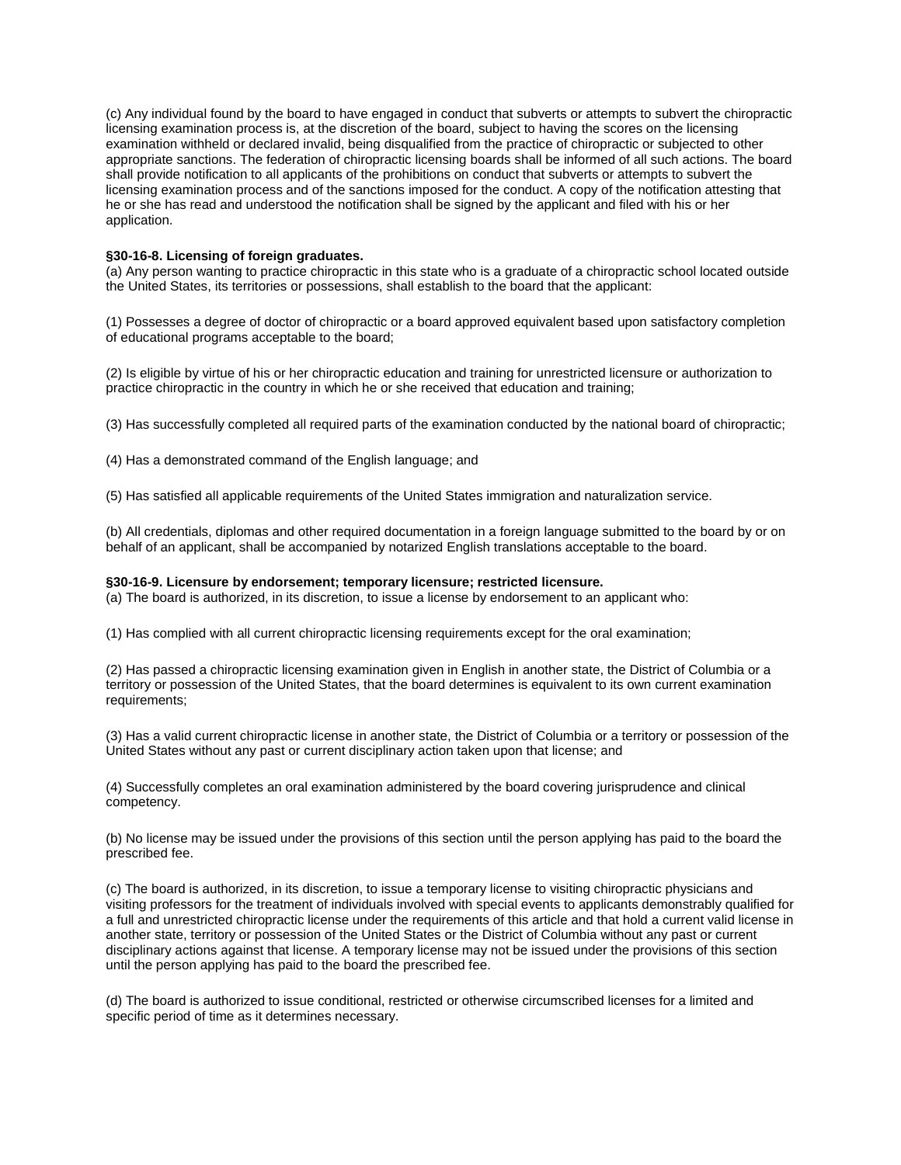(c) Any individual found by the board to have engaged in conduct that subverts or attempts to subvert the chiropractic licensing examination process is, at the discretion of the board, subject to having the scores on the licensing examination withheld or declared invalid, being disqualified from the practice of chiropractic or subjected to other appropriate sanctions. The federation of chiropractic licensing boards shall be informed of all such actions. The board shall provide notification to all applicants of the prohibitions on conduct that subverts or attempts to subvert the licensing examination process and of the sanctions imposed for the conduct. A copy of the notification attesting that he or she has read and understood the notification shall be signed by the applicant and filed with his or her application.

## **§30-16-8. Licensing of foreign graduates.**

(a) Any person wanting to practice chiropractic in this state who is a graduate of a chiropractic school located outside the United States, its territories or possessions, shall establish to the board that the applicant:

(1) Possesses a degree of doctor of chiropractic or a board approved equivalent based upon satisfactory completion of educational programs acceptable to the board;

(2) Is eligible by virtue of his or her chiropractic education and training for unrestricted licensure or authorization to practice chiropractic in the country in which he or she received that education and training;

(3) Has successfully completed all required parts of the examination conducted by the national board of chiropractic;

(4) Has a demonstrated command of the English language; and

(5) Has satisfied all applicable requirements of the United States immigration and naturalization service.

(b) All credentials, diplomas and other required documentation in a foreign language submitted to the board by or on behalf of an applicant, shall be accompanied by notarized English translations acceptable to the board.

#### **§30-16-9. Licensure by endorsement; temporary licensure; restricted licensure.**

(a) The board is authorized, in its discretion, to issue a license by endorsement to an applicant who:

(1) Has complied with all current chiropractic licensing requirements except for the oral examination;

(2) Has passed a chiropractic licensing examination given in English in another state, the District of Columbia or a territory or possession of the United States, that the board determines is equivalent to its own current examination requirements;

(3) Has a valid current chiropractic license in another state, the District of Columbia or a territory or possession of the United States without any past or current disciplinary action taken upon that license; and

(4) Successfully completes an oral examination administered by the board covering jurisprudence and clinical competency.

(b) No license may be issued under the provisions of this section until the person applying has paid to the board the prescribed fee.

(c) The board is authorized, in its discretion, to issue a temporary license to visiting chiropractic physicians and visiting professors for the treatment of individuals involved with special events to applicants demonstrably qualified for a full and unrestricted chiropractic license under the requirements of this article and that hold a current valid license in another state, territory or possession of the United States or the District of Columbia without any past or current disciplinary actions against that license. A temporary license may not be issued under the provisions of this section until the person applying has paid to the board the prescribed fee.

(d) The board is authorized to issue conditional, restricted or otherwise circumscribed licenses for a limited and specific period of time as it determines necessary.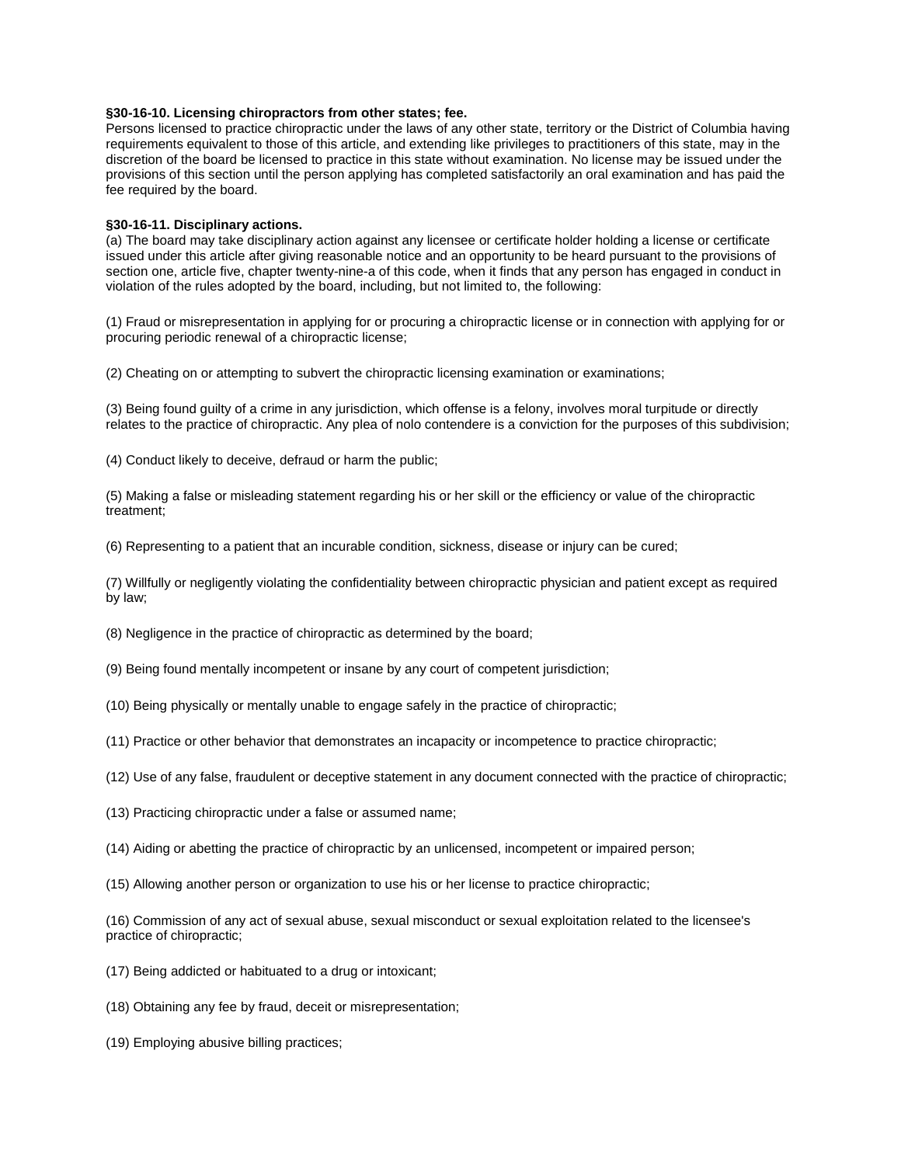#### **§30-16-10. Licensing chiropractors from other states; fee.**

Persons licensed to practice chiropractic under the laws of any other state, territory or the District of Columbia having requirements equivalent to those of this article, and extending like privileges to practitioners of this state, may in the discretion of the board be licensed to practice in this state without examination. No license may be issued under the provisions of this section until the person applying has completed satisfactorily an oral examination and has paid the fee required by the board.

#### **§30-16-11. Disciplinary actions.**

(a) The board may take disciplinary action against any licensee or certificate holder holding a license or certificate issued under this article after giving reasonable notice and an opportunity to be heard pursuant to the provisions of section one, article five, chapter twenty-nine-a of this code, when it finds that any person has engaged in conduct in violation of the rules adopted by the board, including, but not limited to, the following:

(1) Fraud or misrepresentation in applying for or procuring a chiropractic license or in connection with applying for or procuring periodic renewal of a chiropractic license;

(2) Cheating on or attempting to subvert the chiropractic licensing examination or examinations;

(3) Being found guilty of a crime in any jurisdiction, which offense is a felony, involves moral turpitude or directly relates to the practice of chiropractic. Any plea of nolo contendere is a conviction for the purposes of this subdivision;

(4) Conduct likely to deceive, defraud or harm the public;

(5) Making a false or misleading statement regarding his or her skill or the efficiency or value of the chiropractic treatment;

(6) Representing to a patient that an incurable condition, sickness, disease or injury can be cured;

(7) Willfully or negligently violating the confidentiality between chiropractic physician and patient except as required by law;

(8) Negligence in the practice of chiropractic as determined by the board;

(9) Being found mentally incompetent or insane by any court of competent jurisdiction;

(10) Being physically or mentally unable to engage safely in the practice of chiropractic;

(11) Practice or other behavior that demonstrates an incapacity or incompetence to practice chiropractic;

(12) Use of any false, fraudulent or deceptive statement in any document connected with the practice of chiropractic;

(13) Practicing chiropractic under a false or assumed name;

(14) Aiding or abetting the practice of chiropractic by an unlicensed, incompetent or impaired person;

(15) Allowing another person or organization to use his or her license to practice chiropractic;

(16) Commission of any act of sexual abuse, sexual misconduct or sexual exploitation related to the licensee's practice of chiropractic;

- (17) Being addicted or habituated to a drug or intoxicant;
- (18) Obtaining any fee by fraud, deceit or misrepresentation;
- (19) Employing abusive billing practices;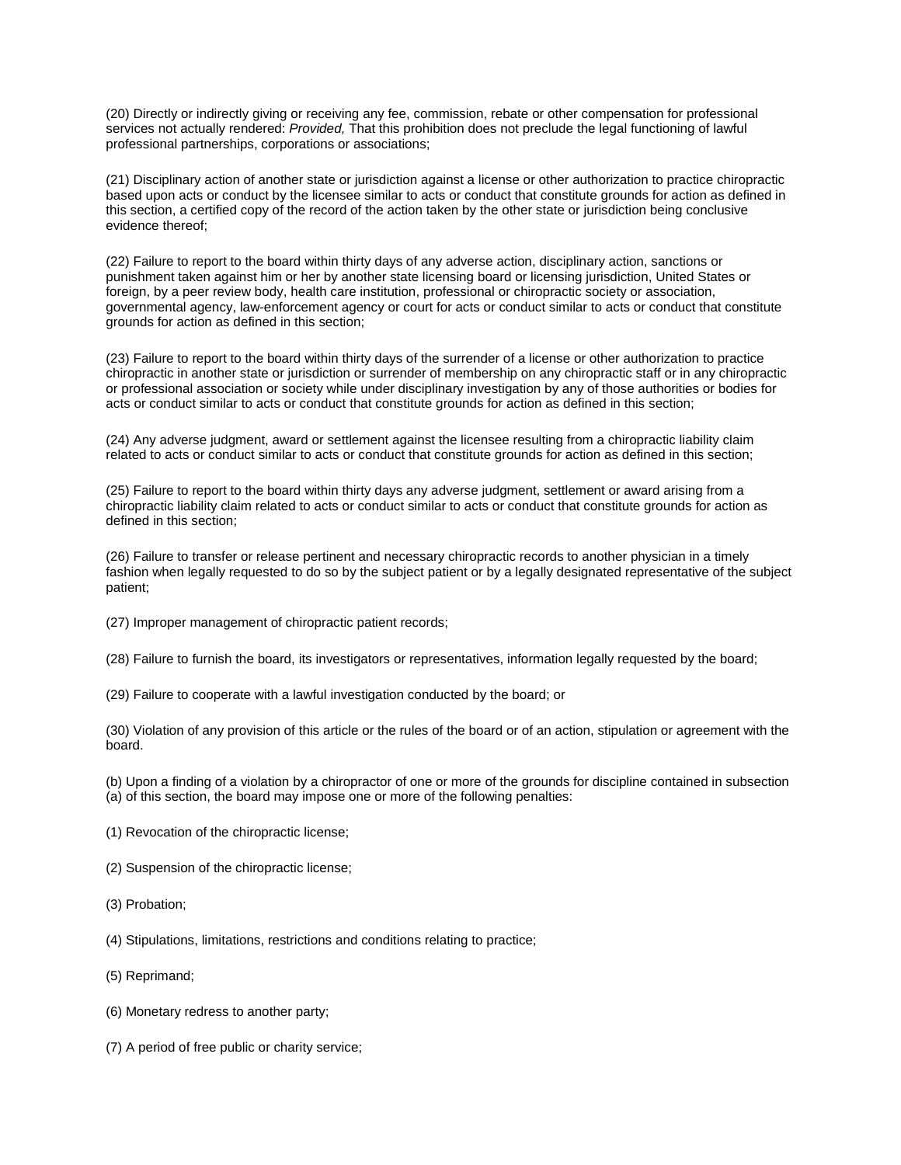(20) Directly or indirectly giving or receiving any fee, commission, rebate or other compensation for professional services not actually rendered: *Provided,* That this prohibition does not preclude the legal functioning of lawful professional partnerships, corporations or associations;

(21) Disciplinary action of another state or jurisdiction against a license or other authorization to practice chiropractic based upon acts or conduct by the licensee similar to acts or conduct that constitute grounds for action as defined in this section, a certified copy of the record of the action taken by the other state or jurisdiction being conclusive evidence thereof;

(22) Failure to report to the board within thirty days of any adverse action, disciplinary action, sanctions or punishment taken against him or her by another state licensing board or licensing jurisdiction, United States or foreign, by a peer review body, health care institution, professional or chiropractic society or association, governmental agency, law-enforcement agency or court for acts or conduct similar to acts or conduct that constitute grounds for action as defined in this section;

(23) Failure to report to the board within thirty days of the surrender of a license or other authorization to practice chiropractic in another state or jurisdiction or surrender of membership on any chiropractic staff or in any chiropractic or professional association or society while under disciplinary investigation by any of those authorities or bodies for acts or conduct similar to acts or conduct that constitute grounds for action as defined in this section;

(24) Any adverse judgment, award or settlement against the licensee resulting from a chiropractic liability claim related to acts or conduct similar to acts or conduct that constitute grounds for action as defined in this section;

(25) Failure to report to the board within thirty days any adverse judgment, settlement or award arising from a chiropractic liability claim related to acts or conduct similar to acts or conduct that constitute grounds for action as defined in this section;

(26) Failure to transfer or release pertinent and necessary chiropractic records to another physician in a timely fashion when legally requested to do so by the subject patient or by a legally designated representative of the subject patient;

(27) Improper management of chiropractic patient records;

(28) Failure to furnish the board, its investigators or representatives, information legally requested by the board;

(29) Failure to cooperate with a lawful investigation conducted by the board; or

(30) Violation of any provision of this article or the rules of the board or of an action, stipulation or agreement with the board.

(b) Upon a finding of a violation by a chiropractor of one or more of the grounds for discipline contained in subsection (a) of this section, the board may impose one or more of the following penalties:

- (1) Revocation of the chiropractic license;
- (2) Suspension of the chiropractic license;
- (3) Probation;
- (4) Stipulations, limitations, restrictions and conditions relating to practice;
- (5) Reprimand;
- (6) Monetary redress to another party;
- (7) A period of free public or charity service;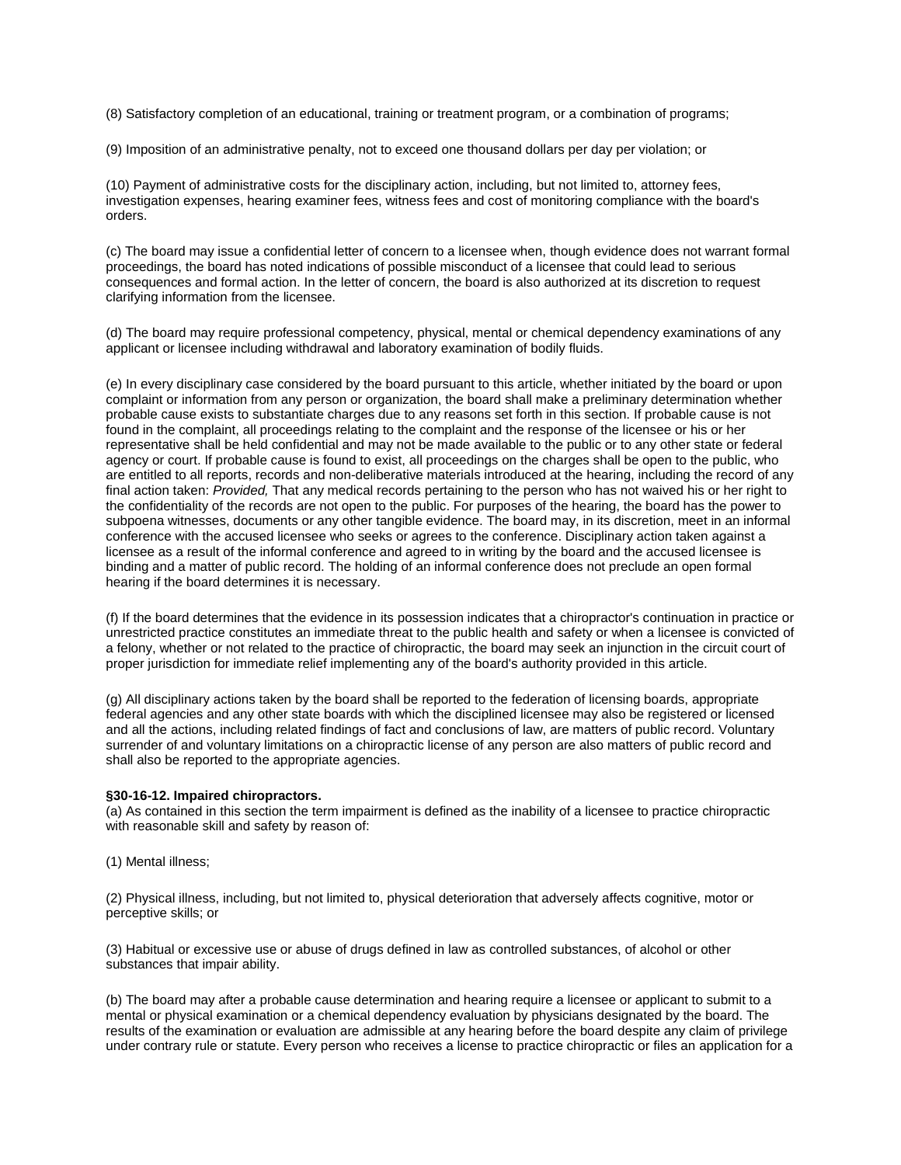(8) Satisfactory completion of an educational, training or treatment program, or a combination of programs;

(9) Imposition of an administrative penalty, not to exceed one thousand dollars per day per violation; or

(10) Payment of administrative costs for the disciplinary action, including, but not limited to, attorney fees, investigation expenses, hearing examiner fees, witness fees and cost of monitoring compliance with the board's orders.

(c) The board may issue a confidential letter of concern to a licensee when, though evidence does not warrant formal proceedings, the board has noted indications of possible misconduct of a licensee that could lead to serious consequences and formal action. In the letter of concern, the board is also authorized at its discretion to request clarifying information from the licensee.

(d) The board may require professional competency, physical, mental or chemical dependency examinations of any applicant or licensee including withdrawal and laboratory examination of bodily fluids.

(e) In every disciplinary case considered by the board pursuant to this article, whether initiated by the board or upon complaint or information from any person or organization, the board shall make a preliminary determination whether probable cause exists to substantiate charges due to any reasons set forth in this section. If probable cause is not found in the complaint, all proceedings relating to the complaint and the response of the licensee or his or her representative shall be held confidential and may not be made available to the public or to any other state or federal agency or court. If probable cause is found to exist, all proceedings on the charges shall be open to the public, who are entitled to all reports, records and non-deliberative materials introduced at the hearing, including the record of any final action taken: *Provided,* That any medical records pertaining to the person who has not waived his or her right to the confidentiality of the records are not open to the public. For purposes of the hearing, the board has the power to subpoena witnesses, documents or any other tangible evidence. The board may, in its discretion, meet in an informal conference with the accused licensee who seeks or agrees to the conference. Disciplinary action taken against a licensee as a result of the informal conference and agreed to in writing by the board and the accused licensee is binding and a matter of public record. The holding of an informal conference does not preclude an open formal hearing if the board determines it is necessary.

(f) If the board determines that the evidence in its possession indicates that a chiropractor's continuation in practice or unrestricted practice constitutes an immediate threat to the public health and safety or when a licensee is convicted of a felony, whether or not related to the practice of chiropractic, the board may seek an injunction in the circuit court of proper jurisdiction for immediate relief implementing any of the board's authority provided in this article.

(g) All disciplinary actions taken by the board shall be reported to the federation of licensing boards, appropriate federal agencies and any other state boards with which the disciplined licensee may also be registered or licensed and all the actions, including related findings of fact and conclusions of law, are matters of public record. Voluntary surrender of and voluntary limitations on a chiropractic license of any person are also matters of public record and shall also be reported to the appropriate agencies.

#### **§30-16-12. Impaired chiropractors.**

(a) As contained in this section the term impairment is defined as the inability of a licensee to practice chiropractic with reasonable skill and safety by reason of:

(1) Mental illness;

(2) Physical illness, including, but not limited to, physical deterioration that adversely affects cognitive, motor or perceptive skills; or

(3) Habitual or excessive use or abuse of drugs defined in law as controlled substances, of alcohol or other substances that impair ability.

(b) The board may after a probable cause determination and hearing require a licensee or applicant to submit to a mental or physical examination or a chemical dependency evaluation by physicians designated by the board. The results of the examination or evaluation are admissible at any hearing before the board despite any claim of privilege under contrary rule or statute. Every person who receives a license to practice chiropractic or files an application for a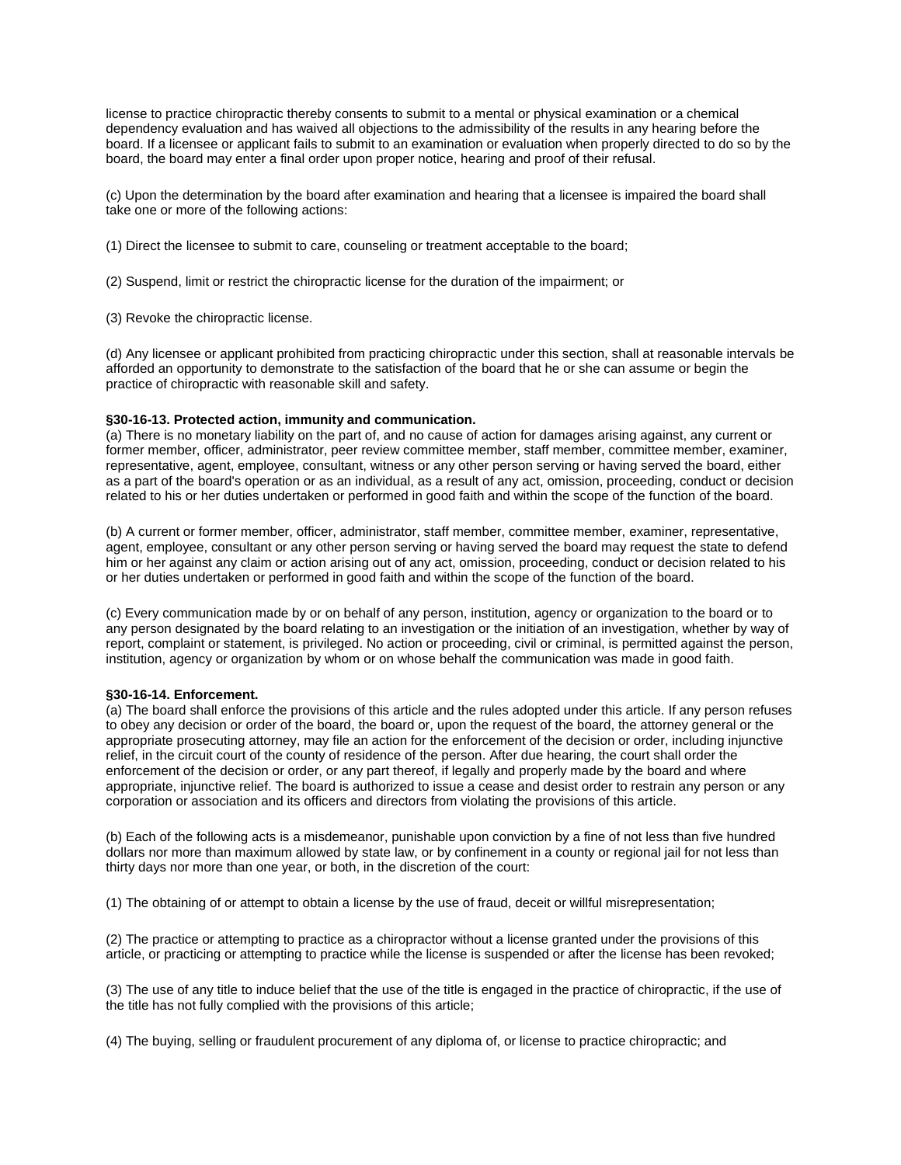license to practice chiropractic thereby consents to submit to a mental or physical examination or a chemical dependency evaluation and has waived all objections to the admissibility of the results in any hearing before the board. If a licensee or applicant fails to submit to an examination or evaluation when properly directed to do so by the board, the board may enter a final order upon proper notice, hearing and proof of their refusal.

(c) Upon the determination by the board after examination and hearing that a licensee is impaired the board shall take one or more of the following actions:

(1) Direct the licensee to submit to care, counseling or treatment acceptable to the board;

(2) Suspend, limit or restrict the chiropractic license for the duration of the impairment; or

(3) Revoke the chiropractic license.

(d) Any licensee or applicant prohibited from practicing chiropractic under this section, shall at reasonable intervals be afforded an opportunity to demonstrate to the satisfaction of the board that he or she can assume or begin the practice of chiropractic with reasonable skill and safety.

## **§30-16-13. Protected action, immunity and communication.**

(a) There is no monetary liability on the part of, and no cause of action for damages arising against, any current or former member, officer, administrator, peer review committee member, staff member, committee member, examiner, representative, agent, employee, consultant, witness or any other person serving or having served the board, either as a part of the board's operation or as an individual, as a result of any act, omission, proceeding, conduct or decision related to his or her duties undertaken or performed in good faith and within the scope of the function of the board.

(b) A current or former member, officer, administrator, staff member, committee member, examiner, representative, agent, employee, consultant or any other person serving or having served the board may request the state to defend him or her against any claim or action arising out of any act, omission, proceeding, conduct or decision related to his or her duties undertaken or performed in good faith and within the scope of the function of the board.

(c) Every communication made by or on behalf of any person, institution, agency or organization to the board or to any person designated by the board relating to an investigation or the initiation of an investigation, whether by way of report, complaint or statement, is privileged. No action or proceeding, civil or criminal, is permitted against the person, institution, agency or organization by whom or on whose behalf the communication was made in good faith.

#### **§30-16-14. Enforcement.**

(a) The board shall enforce the provisions of this article and the rules adopted under this article. If any person refuses to obey any decision or order of the board, the board or, upon the request of the board, the attorney general or the appropriate prosecuting attorney, may file an action for the enforcement of the decision or order, including injunctive relief, in the circuit court of the county of residence of the person. After due hearing, the court shall order the enforcement of the decision or order, or any part thereof, if legally and properly made by the board and where appropriate, injunctive relief. The board is authorized to issue a cease and desist order to restrain any person or any corporation or association and its officers and directors from violating the provisions of this article.

(b) Each of the following acts is a misdemeanor, punishable upon conviction by a fine of not less than five hundred dollars nor more than maximum allowed by state law, or by confinement in a county or regional jail for not less than thirty days nor more than one year, or both, in the discretion of the court:

(1) The obtaining of or attempt to obtain a license by the use of fraud, deceit or willful misrepresentation;

(2) The practice or attempting to practice as a chiropractor without a license granted under the provisions of this article, or practicing or attempting to practice while the license is suspended or after the license has been revoked;

(3) The use of any title to induce belief that the use of the title is engaged in the practice of chiropractic, if the use of the title has not fully complied with the provisions of this article;

(4) The buying, selling or fraudulent procurement of any diploma of, or license to practice chiropractic; and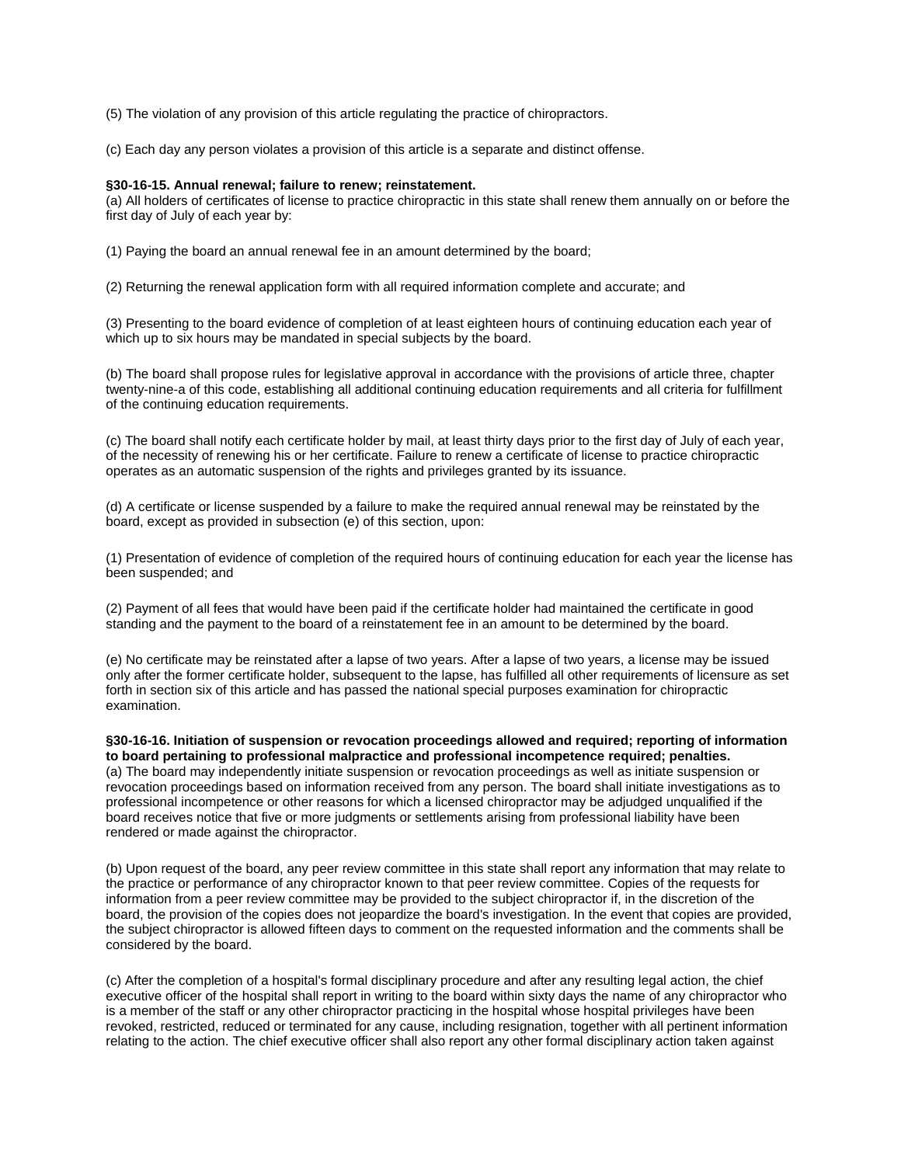(5) The violation of any provision of this article regulating the practice of chiropractors.

(c) Each day any person violates a provision of this article is a separate and distinct offense.

#### **§30-16-15. Annual renewal; failure to renew; reinstatement.**

(a) All holders of certificates of license to practice chiropractic in this state shall renew them annually on or before the first day of July of each year by:

(1) Paying the board an annual renewal fee in an amount determined by the board;

(2) Returning the renewal application form with all required information complete and accurate; and

(3) Presenting to the board evidence of completion of at least eighteen hours of continuing education each year of which up to six hours may be mandated in special subjects by the board.

(b) The board shall propose rules for legislative approval in accordance with the provisions of article three, chapter twenty-nine-a of this code, establishing all additional continuing education requirements and all criteria for fulfillment of the continuing education requirements.

(c) The board shall notify each certificate holder by mail, at least thirty days prior to the first day of July of each year, of the necessity of renewing his or her certificate. Failure to renew a certificate of license to practice chiropractic operates as an automatic suspension of the rights and privileges granted by its issuance.

(d) A certificate or license suspended by a failure to make the required annual renewal may be reinstated by the board, except as provided in subsection (e) of this section, upon:

(1) Presentation of evidence of completion of the required hours of continuing education for each year the license has been suspended; and

(2) Payment of all fees that would have been paid if the certificate holder had maintained the certificate in good standing and the payment to the board of a reinstatement fee in an amount to be determined by the board.

(e) No certificate may be reinstated after a lapse of two years. After a lapse of two years, a license may be issued only after the former certificate holder, subsequent to the lapse, has fulfilled all other requirements of licensure as set forth in section six of this article and has passed the national special purposes examination for chiropractic examination.

**§30-16-16. Initiation of suspension or revocation proceedings allowed and required; reporting of information to board pertaining to professional malpractice and professional incompetence required; penalties.** (a) The board may independently initiate suspension or revocation proceedings as well as initiate suspension or revocation proceedings based on information received from any person. The board shall initiate investigations as to professional incompetence or other reasons for which a licensed chiropractor may be adjudged unqualified if the board receives notice that five or more judgments or settlements arising from professional liability have been rendered or made against the chiropractor.

(b) Upon request of the board, any peer review committee in this state shall report any information that may relate to the practice or performance of any chiropractor known to that peer review committee. Copies of the requests for information from a peer review committee may be provided to the subject chiropractor if, in the discretion of the board, the provision of the copies does not jeopardize the board's investigation. In the event that copies are provided, the subject chiropractor is allowed fifteen days to comment on the requested information and the comments shall be considered by the board.

(c) After the completion of a hospital's formal disciplinary procedure and after any resulting legal action, the chief executive officer of the hospital shall report in writing to the board within sixty days the name of any chiropractor who is a member of the staff or any other chiropractor practicing in the hospital whose hospital privileges have been revoked, restricted, reduced or terminated for any cause, including resignation, together with all pertinent information relating to the action. The chief executive officer shall also report any other formal disciplinary action taken against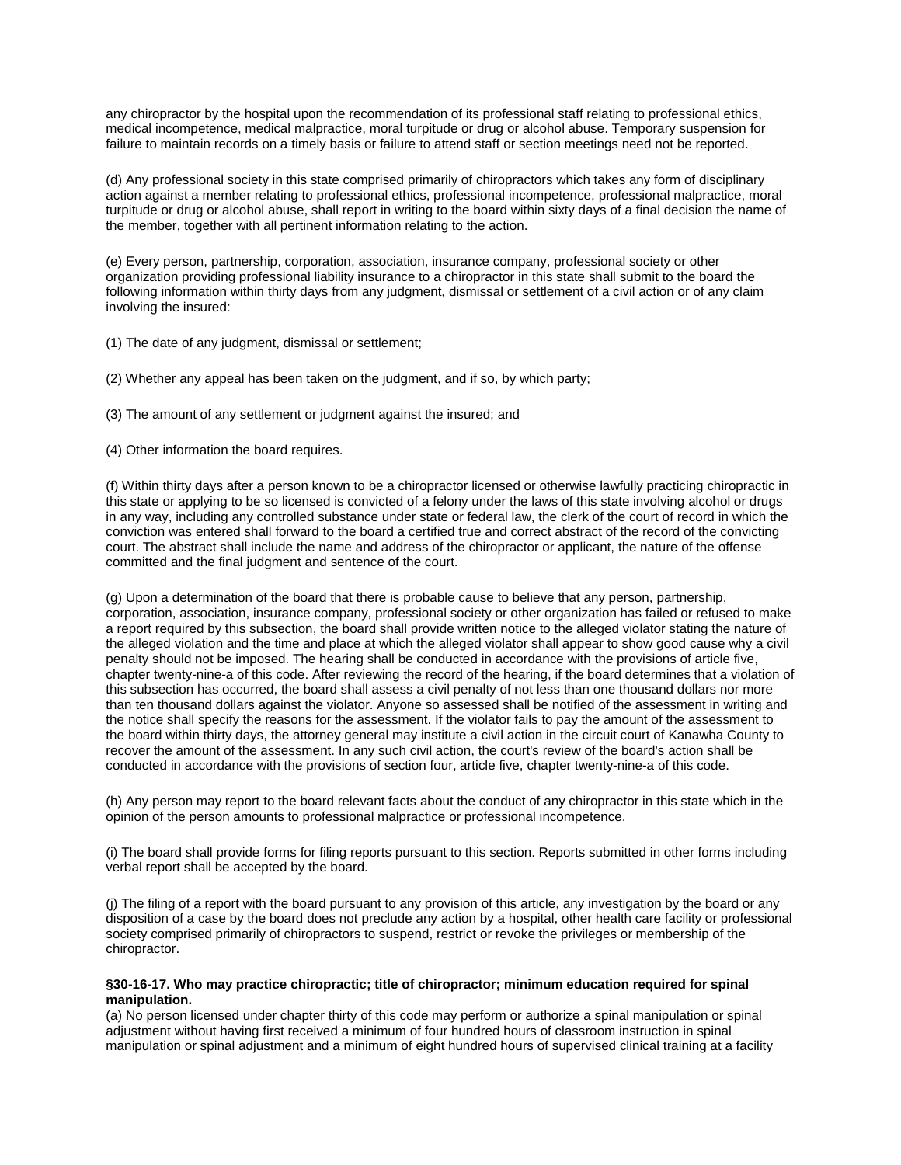any chiropractor by the hospital upon the recommendation of its professional staff relating to professional ethics, medical incompetence, medical malpractice, moral turpitude or drug or alcohol abuse. Temporary suspension for failure to maintain records on a timely basis or failure to attend staff or section meetings need not be reported.

(d) Any professional society in this state comprised primarily of chiropractors which takes any form of disciplinary action against a member relating to professional ethics, professional incompetence, professional malpractice, moral turpitude or drug or alcohol abuse, shall report in writing to the board within sixty days of a final decision the name of the member, together with all pertinent information relating to the action.

(e) Every person, partnership, corporation, association, insurance company, professional society or other organization providing professional liability insurance to a chiropractor in this state shall submit to the board the following information within thirty days from any judgment, dismissal or settlement of a civil action or of any claim involving the insured:

- (1) The date of any judgment, dismissal or settlement;
- (2) Whether any appeal has been taken on the judgment, and if so, by which party;
- (3) The amount of any settlement or judgment against the insured; and
- (4) Other information the board requires.

(f) Within thirty days after a person known to be a chiropractor licensed or otherwise lawfully practicing chiropractic in this state or applying to be so licensed is convicted of a felony under the laws of this state involving alcohol or drugs in any way, including any controlled substance under state or federal law, the clerk of the court of record in which the conviction was entered shall forward to the board a certified true and correct abstract of the record of the convicting court. The abstract shall include the name and address of the chiropractor or applicant, the nature of the offense committed and the final judgment and sentence of the court.

(g) Upon a determination of the board that there is probable cause to believe that any person, partnership, corporation, association, insurance company, professional society or other organization has failed or refused to make a report required by this subsection, the board shall provide written notice to the alleged violator stating the nature of the alleged violation and the time and place at which the alleged violator shall appear to show good cause why a civil penalty should not be imposed. The hearing shall be conducted in accordance with the provisions of article five, chapter twenty-nine-a of this code. After reviewing the record of the hearing, if the board determines that a violation of this subsection has occurred, the board shall assess a civil penalty of not less than one thousand dollars nor more than ten thousand dollars against the violator. Anyone so assessed shall be notified of the assessment in writing and the notice shall specify the reasons for the assessment. If the violator fails to pay the amount of the assessment to the board within thirty days, the attorney general may institute a civil action in the circuit court of Kanawha County to recover the amount of the assessment. In any such civil action, the court's review of the board's action shall be conducted in accordance with the provisions of section four, article five, chapter twenty-nine-a of this code.

(h) Any person may report to the board relevant facts about the conduct of any chiropractor in this state which in the opinion of the person amounts to professional malpractice or professional incompetence.

(i) The board shall provide forms for filing reports pursuant to this section. Reports submitted in other forms including verbal report shall be accepted by the board.

(j) The filing of a report with the board pursuant to any provision of this article, any investigation by the board or any disposition of a case by the board does not preclude any action by a hospital, other health care facility or professional society comprised primarily of chiropractors to suspend, restrict or revoke the privileges or membership of the chiropractor.

## **§30-16-17. Who may practice chiropractic; title of chiropractor; minimum education required for spinal manipulation.**

(a) No person licensed under chapter thirty of this code may perform or authorize a spinal manipulation or spinal adjustment without having first received a minimum of four hundred hours of classroom instruction in spinal manipulation or spinal adjustment and a minimum of eight hundred hours of supervised clinical training at a facility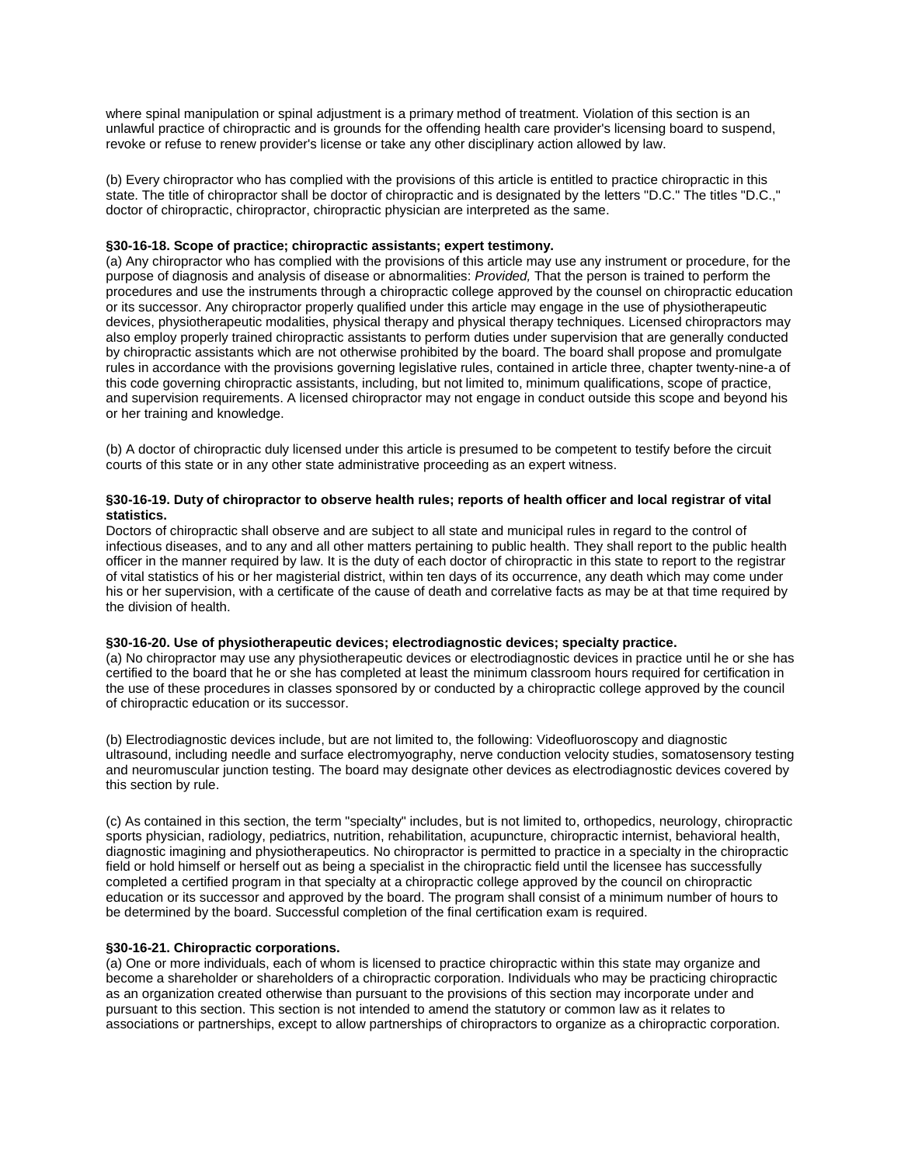where spinal manipulation or spinal adjustment is a primary method of treatment. Violation of this section is an unlawful practice of chiropractic and is grounds for the offending health care provider's licensing board to suspend, revoke or refuse to renew provider's license or take any other disciplinary action allowed by law.

(b) Every chiropractor who has complied with the provisions of this article is entitled to practice chiropractic in this state. The title of chiropractor shall be doctor of chiropractic and is designated by the letters "D.C." The titles "D.C.," doctor of chiropractic, chiropractor, chiropractic physician are interpreted as the same.

## **§30-16-18. Scope of practice; chiropractic assistants; expert testimony.**

(a) Any chiropractor who has complied with the provisions of this article may use any instrument or procedure, for the purpose of diagnosis and analysis of disease or abnormalities: *Provided,* That the person is trained to perform the procedures and use the instruments through a chiropractic college approved by the counsel on chiropractic education or its successor. Any chiropractor properly qualified under this article may engage in the use of physiotherapeutic devices, physiotherapeutic modalities, physical therapy and physical therapy techniques. Licensed chiropractors may also employ properly trained chiropractic assistants to perform duties under supervision that are generally conducted by chiropractic assistants which are not otherwise prohibited by the board. The board shall propose and promulgate rules in accordance with the provisions governing legislative rules, contained in article three, chapter twenty-nine-a of this code governing chiropractic assistants, including, but not limited to, minimum qualifications, scope of practice, and supervision requirements. A licensed chiropractor may not engage in conduct outside this scope and beyond his or her training and knowledge.

(b) A doctor of chiropractic duly licensed under this article is presumed to be competent to testify before the circuit courts of this state or in any other state administrative proceeding as an expert witness.

## **§30-16-19. Duty of chiropractor to observe health rules; reports of health officer and local registrar of vital statistics.**

Doctors of chiropractic shall observe and are subject to all state and municipal rules in regard to the control of infectious diseases, and to any and all other matters pertaining to public health. They shall report to the public health officer in the manner required by law. It is the duty of each doctor of chiropractic in this state to report to the registrar of vital statistics of his or her magisterial district, within ten days of its occurrence, any death which may come under his or her supervision, with a certificate of the cause of death and correlative facts as may be at that time required by the division of health.

#### **§30-16-20. Use of physiotherapeutic devices; electrodiagnostic devices; specialty practice.**

(a) No chiropractor may use any physiotherapeutic devices or electrodiagnostic devices in practice until he or she has certified to the board that he or she has completed at least the minimum classroom hours required for certification in the use of these procedures in classes sponsored by or conducted by a chiropractic college approved by the council of chiropractic education or its successor.

(b) Electrodiagnostic devices include, but are not limited to, the following: Videofluoroscopy and diagnostic ultrasound, including needle and surface electromyography, nerve conduction velocity studies, somatosensory testing and neuromuscular junction testing. The board may designate other devices as electrodiagnostic devices covered by this section by rule.

(c) As contained in this section, the term "specialty" includes, but is not limited to, orthopedics, neurology, chiropractic sports physician, radiology, pediatrics, nutrition, rehabilitation, acupuncture, chiropractic internist, behavioral health, diagnostic imagining and physiotherapeutics. No chiropractor is permitted to practice in a specialty in the chiropractic field or hold himself or herself out as being a specialist in the chiropractic field until the licensee has successfully completed a certified program in that specialty at a chiropractic college approved by the council on chiropractic education or its successor and approved by the board. The program shall consist of a minimum number of hours to be determined by the board. Successful completion of the final certification exam is required.

# **§30-16-21. Chiropractic corporations.**

(a) One or more individuals, each of whom is licensed to practice chiropractic within this state may organize and become a shareholder or shareholders of a chiropractic corporation. Individuals who may be practicing chiropractic as an organization created otherwise than pursuant to the provisions of this section may incorporate under and pursuant to this section. This section is not intended to amend the statutory or common law as it relates to associations or partnerships, except to allow partnerships of chiropractors to organize as a chiropractic corporation.